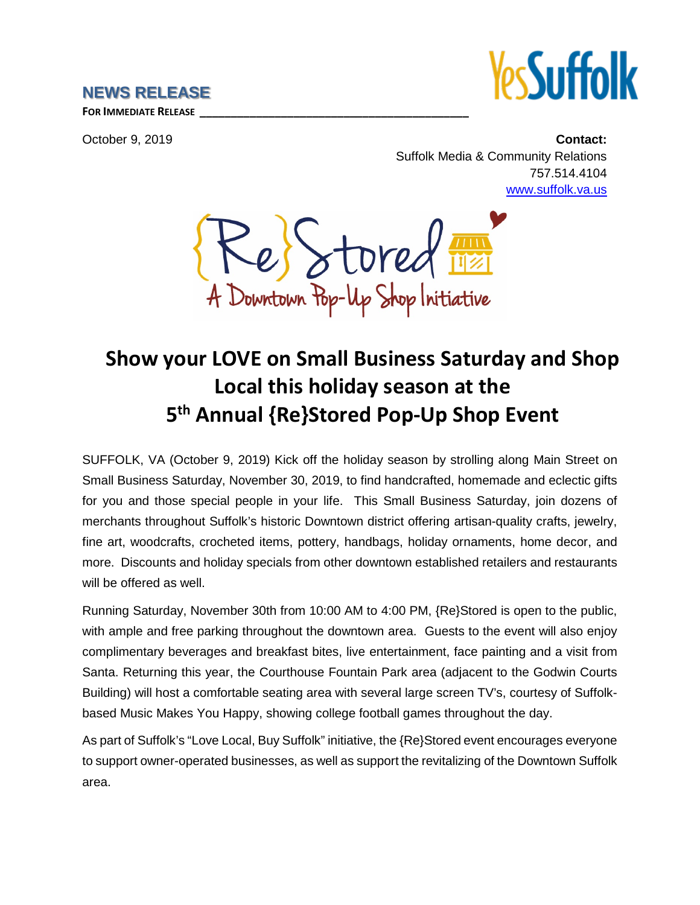## **NEWS RELEASE**



**FOR IMMEDIATE RELEASE \_\_\_\_\_\_\_\_\_\_\_\_\_\_\_\_\_\_\_\_\_\_\_\_\_\_\_\_\_\_\_\_\_\_\_\_\_\_\_\_\_\_\_**

October 9, 2019 **Contact:** Suffolk Media & Community Relations 757.514.4104 [www.suffolk.va.us](http://www.suffolk.va.us/)

e) Stored A Downtown Pop-Up Shop Initiative

## **Show your LOVE on Small Business Saturday and Shop Local this holiday season at the 5th Annual {Re}Stored Pop-Up Shop Event**

SUFFOLK, VA (October 9, 2019) Kick off the holiday season by strolling along Main Street on Small Business Saturday, November 30, 2019, to find handcrafted, homemade and eclectic gifts for you and those special people in your life. This Small Business Saturday, join dozens of merchants throughout Suffolk's historic Downtown district offering artisan-quality crafts, jewelry, fine art, woodcrafts, crocheted items, pottery, handbags, holiday ornaments, home decor, and more. Discounts and holiday specials from other downtown established retailers and restaurants will be offered as well.

Running Saturday, November 30th from 10:00 AM to 4:00 PM, {Re}Stored is open to the public, with ample and free parking throughout the downtown area. Guests to the event will also enjoy complimentary beverages and breakfast bites, live entertainment, face painting and a visit from Santa. Returning this year, the Courthouse Fountain Park area (adjacent to the Godwin Courts Building) will host a comfortable seating area with several large screen TV's, courtesy of Suffolkbased Music Makes You Happy, showing college football games throughout the day.

As part of Suffolk's "Love Local, Buy Suffolk" initiative, the {Re}Stored event encourages everyone to support owner-operated businesses, as well as support the revitalizing of the Downtown Suffolk area.